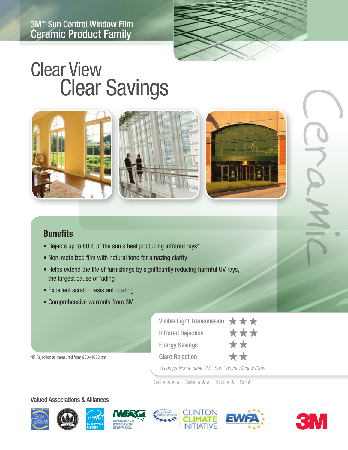

# Clear View Clear Savings



## **Benefits**

- Rejects up to 80% of the sun's heat producing infrared rays\*
- Non-metalized film with natural tone for amazing clarity
- Helps extend the life of furnishings by significantly reducing harmful UV rays, the largest cause of fading
- Excellent scratch resistant coating
- Comprehensive warranty from 3M

\*IR Rejection as measured from 900–1000 nm

| Visible Light Transmission $\star \star \star$      |     |
|-----------------------------------------------------|-----|
| <b>Infrared Rejection</b>                           | *** |
| <b>Energy Savings</b>                               |     |
| <b>Glare Rejection</b>                              | **  |
| In comparison to other 3M™ Sun Control Window Films |     |

Best \*\*\*\* Better \*\*\* Good \*\* Fair \*

#### Valued Associations & Alliances















Ceramic